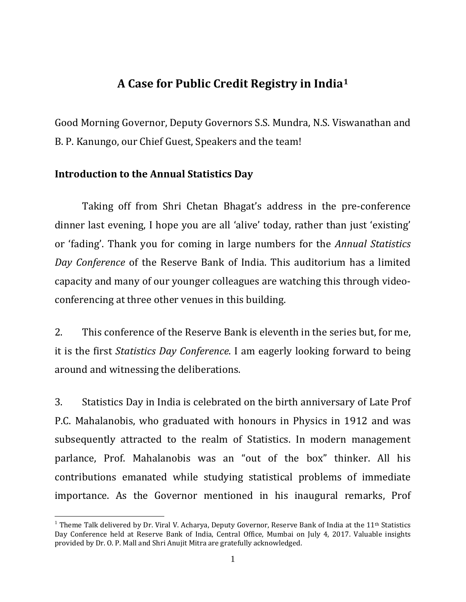# **A Case for Public Credit Registry in India[1](#page-0-0)**

Good Morning Governor, Deputy Governors S.S. Mundra, N.S. Viswanathan and B. P. Kanungo, our Chief Guest, Speakers and the team!

### **Introduction to the Annual Statistics Day**

Taking off from Shri Chetan Bhagat's address in the pre-conference dinner last evening, I hope you are all 'alive' today, rather than just 'existing' or 'fading'. Thank you for coming in large numbers for the *Annual Statistics Day Conference* of the Reserve Bank of India. This auditorium has a limited capacity and many of our younger colleagues are watching this through videoconferencing at three other venues in this building.

2. This conference of the Reserve Bank is eleventh in the series but, for me, it is the first *Statistics Day Conference*. I am eagerly looking forward to being around and witnessing the deliberations.

3. Statistics Day in India is celebrated on the birth anniversary of Late Prof P.C. Mahalanobis, who graduated with honours in Physics in 1912 and was subsequently attracted to the realm of Statistics. In modern management parlance, Prof. Mahalanobis was an "out of the box" thinker. All his contributions emanated while studying statistical problems of immediate importance. As the Governor mentioned in his inaugural remarks, Prof

<span id="page-0-0"></span><sup>&</sup>lt;sup>1</sup> Theme Talk delivered by Dr. Viral V. Acharya, Deputy Governor, Reserve Bank of India at the 11<sup>th</sup> Statistics Day Conference held at Reserve Bank of India, Central Office, Mumbai on July 4, 2017. Valuable insights provided by Dr. O. P. Mall and Shri Anujit Mitra are gratefully acknowledged.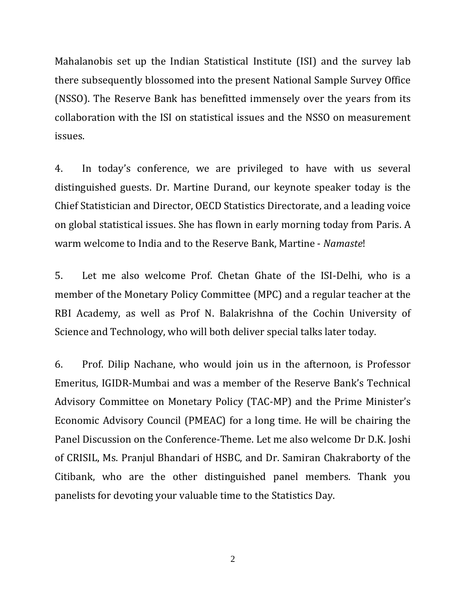Mahalanobis set up the Indian Statistical Institute (ISI) and the survey lab there subsequently blossomed into the present National Sample Survey Office (NSSO). The Reserve Bank has benefitted immensely over the years from its collaboration with the ISI on statistical issues and the NSSO on measurement issues.

4. In today's conference, we are privileged to have with us several distinguished guests. Dr. Martine Durand, our keynote speaker today is the Chief Statistician and Director, OECD Statistics Directorate, and a leading voice on global statistical issues. She has flown in early morning today from Paris. A warm welcome to India and to the Reserve Bank, Martine - *Namaste*!

5. Let me also welcome Prof. Chetan Ghate of the ISI-Delhi, who is a member of the Monetary Policy Committee (MPC) and a regular teacher at the RBI Academy, as well as Prof N. Balakrishna of the Cochin University of Science and Technology, who will both deliver special talks later today.

6. Prof. Dilip Nachane, who would join us in the afternoon, is Professor Emeritus, IGIDR-Mumbai and was a member of the Reserve Bank's Technical Advisory Committee on Monetary Policy (TAC-MP) and the Prime Minister's Economic Advisory Council (PMEAC) for a long time. He will be chairing the Panel Discussion on the Conference-Theme. Let me also welcome Dr D.K. Joshi of CRISIL, Ms. Pranjul Bhandari of HSBC, and Dr. Samiran Chakraborty of the Citibank, who are the other distinguished panel members. Thank you panelists for devoting your valuable time to the Statistics Day.

2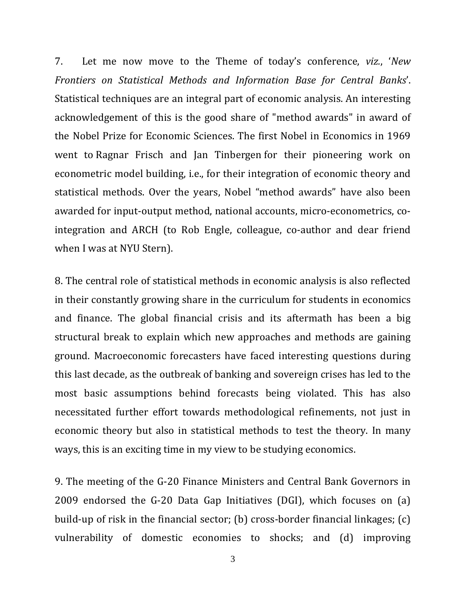7. Let me now move to the Theme of today's conference, *viz.*, '*New Frontiers on Statistical Methods and Information Base for Central Banks*'. Statistical techniques are an integral part of economic analysis. An interesting acknowledgement of this is the good share of "method awards" in award of the Nobel Prize for Economic Sciences. The first Nobel in Economics in 1969 went to Ragnar Frisch and Jan Tinbergen for their pioneering work on econometric model building, i.e., for their integration of economic theory and statistical methods. Over the years, Nobel "method awards" have also been awarded for input-output method, national accounts, micro-econometrics, cointegration and ARCH (to Rob Engle, colleague, co-author and dear friend when I was at NYU Stern).

8. The central role of statistical methods in economic analysis is also reflected in their constantly growing share in the curriculum for students in economics and finance. The global financial crisis and its aftermath has been a big structural break to explain which new approaches and methods are gaining ground. Macroeconomic forecasters have faced interesting questions during this last decade, as the outbreak of banking and sovereign crises has led to the most basic assumptions behind forecasts being violated. This has also necessitated further effort towards methodological refinements, not just in economic theory but also in statistical methods to test the theory. In many ways, this is an exciting time in my view to be studying economics.

9. The meeting of the G-20 Finance Ministers and Central Bank Governors in 2009 endorsed the G-20 Data Gap Initiatives (DGI), which focuses on (a) build-up of risk in the financial sector; (b) cross-border financial linkages; (c) vulnerability of domestic economies to shocks; and (d) improving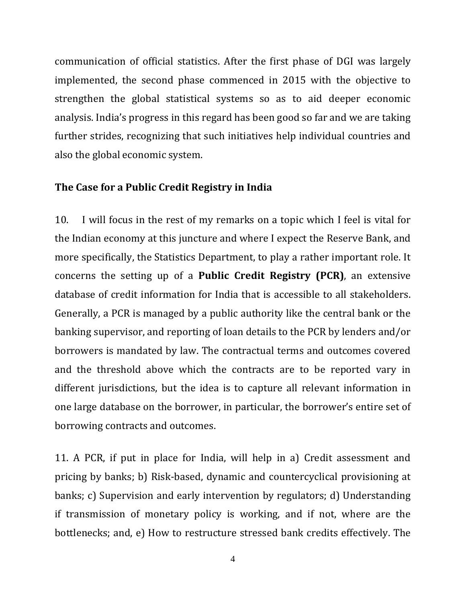communication of official statistics. After the first phase of DGI was largely implemented, the second phase commenced in 2015 with the objective to strengthen the global statistical systems so as to aid deeper economic analysis. India's progress in this regard has been good so far and we are taking further strides, recognizing that such initiatives help individual countries and also the global economic system.

#### **The Case for a Public Credit Registry in India**

10. I will focus in the rest of my remarks on a topic which I feel is vital for the Indian economy at this juncture and where I expect the Reserve Bank, and more specifically, the Statistics Department, to play a rather important role. It concerns the setting up of a **Public Credit Registry (PCR)**, an extensive database of credit information for India that is accessible to all stakeholders. Generally, a PCR is managed by a public authority like the central bank or the banking supervisor, and reporting of loan details to the PCR by lenders and/or borrowers is mandated by law. The contractual terms and outcomes covered and the threshold above which the contracts are to be reported vary in different jurisdictions, but the idea is to capture all relevant information in one large database on the borrower, in particular, the borrower's entire set of borrowing contracts and outcomes.

11. A PCR, if put in place for India, will help in a) Credit assessment and pricing by banks; b) Risk-based, dynamic and countercyclical provisioning at banks; c) Supervision and early intervention by regulators; d) Understanding if transmission of monetary policy is working, and if not, where are the bottlenecks; and, e) How to restructure stressed bank credits effectively. The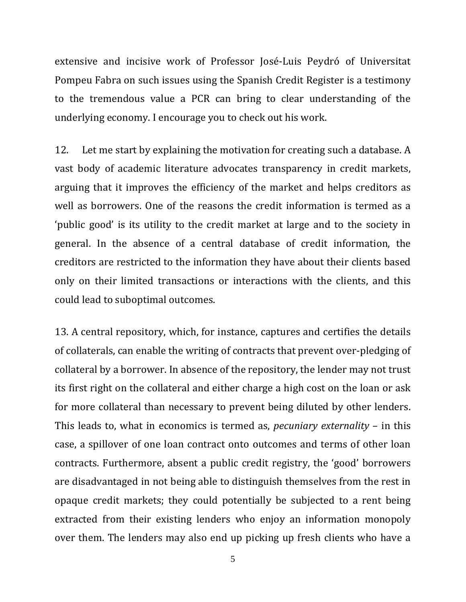extensive and incisive work of Professor José-Luis Peydró of Universitat Pompeu Fabra on such issues using the Spanish Credit Register is a testimony to the tremendous value a PCR can bring to clear understanding of the underlying economy. I encourage you to check out his work.

12. Let me start by explaining the motivation for creating such a database. A vast body of academic literature advocates transparency in credit markets, arguing that it improves the efficiency of the market and helps creditors as well as borrowers. One of the reasons the credit information is termed as a 'public good' is its utility to the credit market at large and to the society in general. In the absence of a central database of credit information, the creditors are restricted to the information they have about their clients based only on their limited transactions or interactions with the clients, and this could lead to suboptimal outcomes.

13. A central repository, which, for instance, captures and certifies the details of collaterals, can enable the writing of contracts that prevent over-pledging of collateral by a borrower. In absence of the repository, the lender may not trust its first right on the collateral and either charge a high cost on the loan or ask for more collateral than necessary to prevent being diluted by other lenders. This leads to, what in economics is termed as, *pecuniary externality* – in this case, a spillover of one loan contract onto outcomes and terms of other loan contracts. Furthermore, absent a public credit registry, the 'good' borrowers are disadvantaged in not being able to distinguish themselves from the rest in opaque credit markets; they could potentially be subjected to a rent being extracted from their existing lenders who enjoy an information monopoly over them. The lenders may also end up picking up fresh clients who have a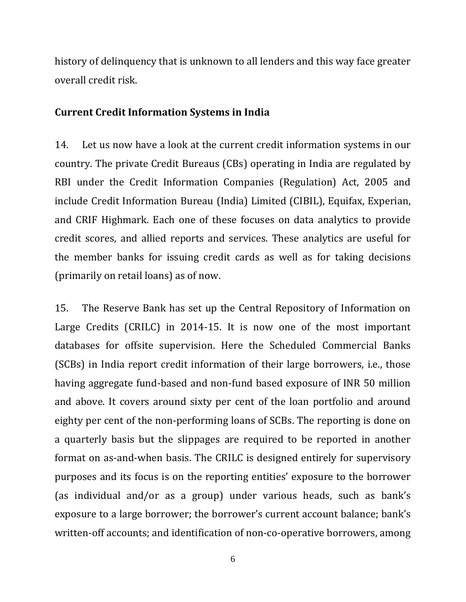history of delinquency that is unknown to all lenders and this way face greater overall credit risk.

#### **Current Credit Information Systems in India**

14. Let us now have a look at the current credit information systems in our country. The private Credit Bureaus (CBs) operating in India are regulated by RBI under the Credit Information Companies (Regulation) Act, 2005 and include Credit Information Bureau (India) Limited (CIBIL), Equifax, Experian, and CRIF Highmark. Each one of these focuses on data analytics to provide credit scores, and allied reports and services. These analytics are useful for the member banks for issuing credit cards as well as for taking decisions (primarily on retail loans) as of now.

15. The Reserve Bank has set up the Central Repository of Information on Large Credits (CRILC) in 2014-15. It is now one of the most important databases for offsite supervision. Here the Scheduled Commercial Banks (SCBs) in India report credit information of their large borrowers, i.e., those having aggregate fund-based and non-fund based exposure of INR 50 million and above. It covers around sixty per cent of the loan portfolio and around eighty per cent of the non-performing loans of SCBs. The reporting is done on a quarterly basis but the slippages are required to be reported in another format on as-and-when basis. The CRILC is designed entirely for supervisory purposes and its focus is on the reporting entities' exposure to the borrower (as individual and/or as a group) under various heads, such as bank's exposure to a large borrower; the borrower's current account balance; bank's written-off accounts; and identification of non-co-operative borrowers, among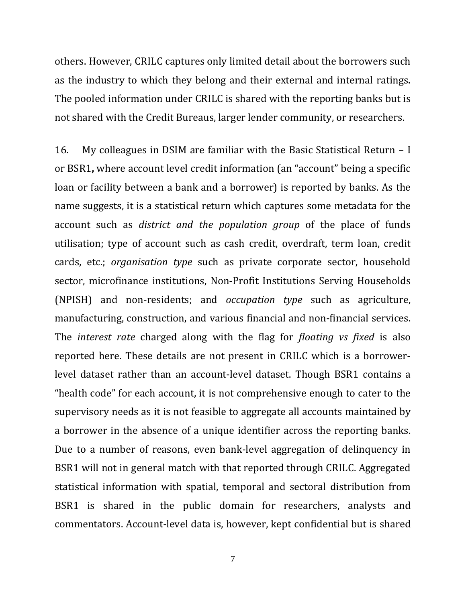others. However, CRILC captures only limited detail about the borrowers such as the industry to which they belong and their external and internal ratings. The pooled information under CRILC is shared with the reporting banks but is not shared with the Credit Bureaus, larger lender community, or researchers.

16. My colleagues in DSIM are familiar with the Basic Statistical Return – I or BSR1**,** where account level credit information (an "account" being a specific loan or facility between a bank and a borrower) is reported by banks. As the name suggests, it is a statistical return which captures some metadata for the account such as *district and the population group* of the place of funds utilisation; type of account such as cash credit, overdraft, term loan, credit cards, etc.; *organisation type* such as private corporate sector, household sector, microfinance institutions, Non-Profit Institutions Serving Households (NPISH) and non-residents; and *occupation type* such as agriculture, manufacturing, construction, and various financial and non-financial services. The *interest rate* charged along with the flag for *floating vs fixed* is also reported here. These details are not present in CRILC which is a borrowerlevel dataset rather than an account-level dataset. Though BSR1 contains a "health code" for each account, it is not comprehensive enough to cater to the supervisory needs as it is not feasible to aggregate all accounts maintained by a borrower in the absence of a unique identifier across the reporting banks. Due to a number of reasons, even bank-level aggregation of delinquency in BSR1 will not in general match with that reported through CRILC. Aggregated statistical information with spatial, temporal and sectoral distribution from BSR1 is shared in the public domain for researchers, analysts and commentators. Account-level data is, however, kept confidential but is shared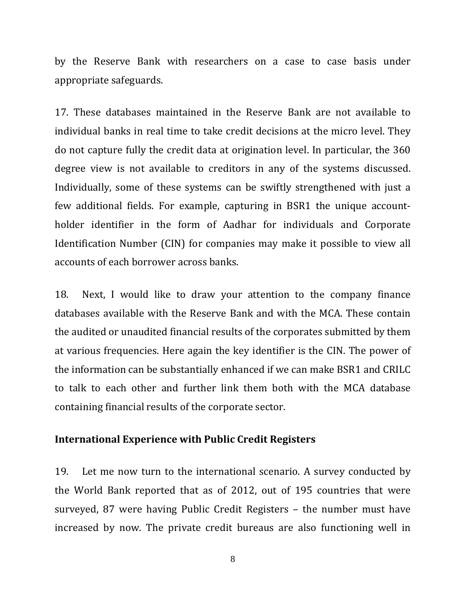by the Reserve Bank with researchers on a case to case basis under appropriate safeguards.

17. These databases maintained in the Reserve Bank are not available to individual banks in real time to take credit decisions at the micro level. They do not capture fully the credit data at origination level. In particular, the 360 degree view is not available to creditors in any of the systems discussed. Individually, some of these systems can be swiftly strengthened with just a few additional fields. For example, capturing in BSR1 the unique accountholder identifier in the form of Aadhar for individuals and Corporate Identification Number (CIN) for companies may make it possible to view all accounts of each borrower across banks.

18. Next, I would like to draw your attention to the company finance databases available with the Reserve Bank and with the MCA. These contain the audited or unaudited financial results of the corporates submitted by them at various frequencies. Here again the key identifier is the CIN. The power of the information can be substantially enhanced if we can make BSR1 and CRILC to talk to each other and further link them both with the MCA database containing financial results of the corporate sector.

## **International Experience with Public Credit Registers**

19. Let me now turn to the international scenario. A survey conducted by the World Bank reported that as of 2012, out of 195 countries that were surveyed, 87 were having Public Credit Registers – the number must have increased by now. The private credit bureaus are also functioning well in

8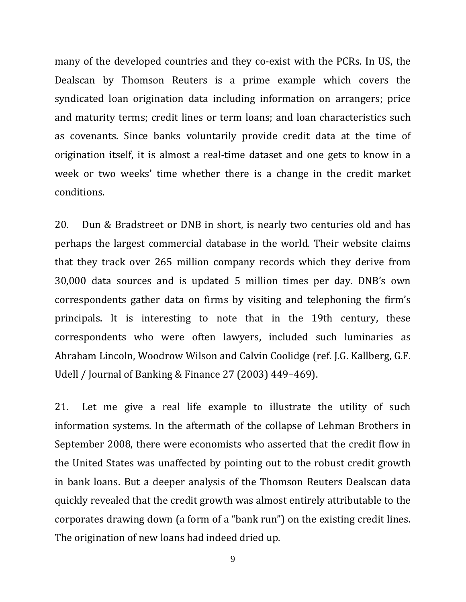many of the developed countries and they co-exist with the PCRs. In US, the Dealscan by Thomson Reuters is a prime example which covers the syndicated loan origination data including information on arrangers; price and maturity terms; credit lines or term loans; and loan characteristics such as covenants. Since banks voluntarily provide credit data at the time of origination itself, it is almost a real-time dataset and one gets to know in a week or two weeks' time whether there is a change in the credit market conditions.

20. Dun & Bradstreet or DNB in short, is nearly two centuries old and has perhaps the largest commercial database in the world. Their website claims that they track over 265 million company records which they derive from 30,000 data sources and is updated 5 million times per day. DNB's own correspondents gather data on firms by visiting and telephoning the firm's principals. It is interesting to note that in the 19th century, these correspondents who were often lawyers, included such luminaries as Abraham Lincoln, Woodrow Wilson and Calvin Coolidge (ref. J.G. Kallberg, G.F. Udell / Journal of Banking & Finance 27 (2003) 449–469).

21. Let me give a real life example to illustrate the utility of such information systems. In the aftermath of the collapse of Lehman Brothers in September 2008, there were economists who asserted that the credit flow in the United States was unaffected by pointing out to the robust credit growth in bank loans. But a deeper analysis of the Thomson Reuters Dealscan data quickly revealed that the credit growth was almost entirely attributable to the corporates drawing down (a form of a "bank run") on the existing credit lines. The origination of new loans had indeed dried up.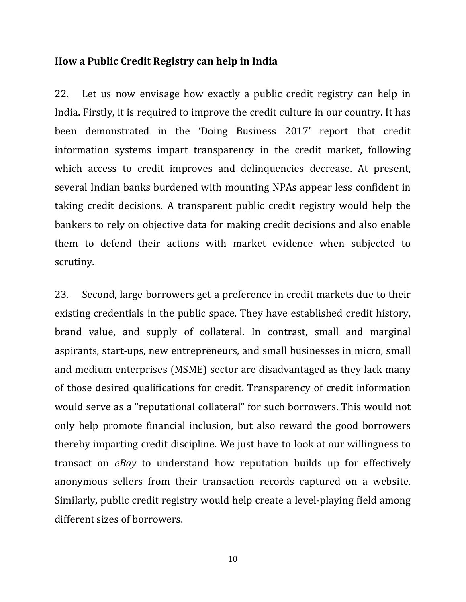## **How a Public Credit Registry can help in India**

22. Let us now envisage how exactly a public credit registry can help in India. Firstly, it is required to improve the credit culture in our country. It has been demonstrated in the 'Doing Business 2017' report that credit information systems impart transparency in the credit market, following which access to credit improves and delinquencies decrease. At present, several Indian banks burdened with mounting NPAs appear less confident in taking credit decisions. A transparent public credit registry would help the bankers to rely on objective data for making credit decisions and also enable them to defend their actions with market evidence when subjected to scrutiny.

23. Second, large borrowers get a preference in credit markets due to their existing credentials in the public space. They have established credit history, brand value, and supply of collateral. In contrast, small and marginal aspirants, start-ups, new entrepreneurs, and small businesses in micro, small and medium enterprises (MSME) sector are disadvantaged as they lack many of those desired qualifications for credit. Transparency of credit information would serve as a "reputational collateral" for such borrowers. This would not only help promote financial inclusion, but also reward the good borrowers thereby imparting credit discipline. We just have to look at our willingness to transact on *eBay* to understand how reputation builds up for effectively anonymous sellers from their transaction records captured on a website. Similarly, public credit registry would help create a level-playing field among different sizes of borrowers.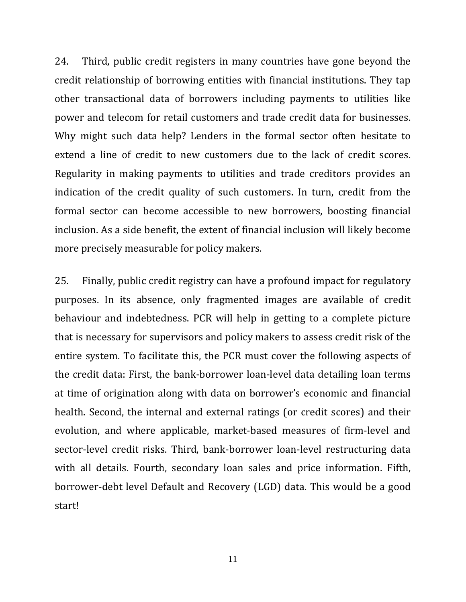24. Third, public credit registers in many countries have gone beyond the credit relationship of borrowing entities with financial institutions. They tap other transactional data of borrowers including payments to utilities like power and telecom for retail customers and trade credit data for businesses. Why might such data help? Lenders in the formal sector often hesitate to extend a line of credit to new customers due to the lack of credit scores. Regularity in making payments to utilities and trade creditors provides an indication of the credit quality of such customers. In turn, credit from the formal sector can become accessible to new borrowers, boosting financial inclusion. As a side benefit, the extent of financial inclusion will likely become more precisely measurable for policy makers.

25. Finally, public credit registry can have a profound impact for regulatory purposes. In its absence, only fragmented images are available of credit behaviour and indebtedness. PCR will help in getting to a complete picture that is necessary for supervisors and policy makers to assess credit risk of the entire system. To facilitate this, the PCR must cover the following aspects of the credit data: First, the bank-borrower loan-level data detailing loan terms at time of origination along with data on borrower's economic and financial health. Second, the internal and external ratings (or credit scores) and their evolution, and where applicable, market-based measures of firm-level and sector-level credit risks. Third, bank-borrower loan-level restructuring data with all details. Fourth, secondary loan sales and price information. Fifth, borrower-debt level Default and Recovery (LGD) data. This would be a good start!

11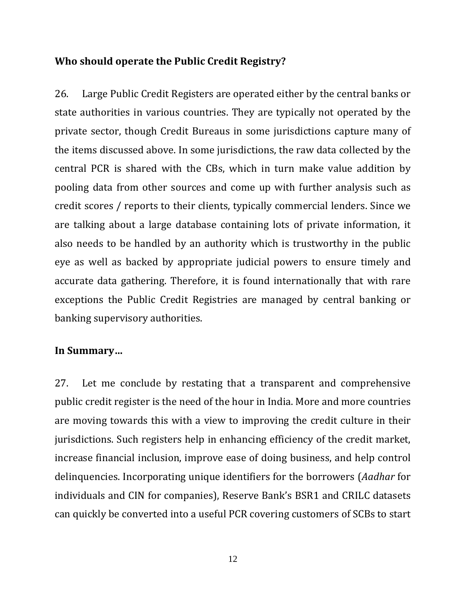## **Who should operate the Public Credit Registry?**

26. Large Public Credit Registers are operated either by the central banks or state authorities in various countries. They are typically not operated by the private sector, though Credit Bureaus in some jurisdictions capture many of the items discussed above. In some jurisdictions, the raw data collected by the central PCR is shared with the CBs, which in turn make value addition by pooling data from other sources and come up with further analysis such as credit scores / reports to their clients, typically commercial lenders. Since we are talking about a large database containing lots of private information, it also needs to be handled by an authority which is trustworthy in the public eye as well as backed by appropriate judicial powers to ensure timely and accurate data gathering. Therefore, it is found internationally that with rare exceptions the Public Credit Registries are managed by central banking or banking supervisory authorities.

#### **In Summary…**

27. Let me conclude by restating that a transparent and comprehensive public credit register is the need of the hour in India. More and more countries are moving towards this with a view to improving the credit culture in their jurisdictions. Such registers help in enhancing efficiency of the credit market, increase financial inclusion, improve ease of doing business, and help control delinquencies. Incorporating unique identifiers for the borrowers (*Aadhar* for individuals and CIN for companies), Reserve Bank's BSR1 and CRILC datasets can quickly be converted into a useful PCR covering customers of SCBs to start